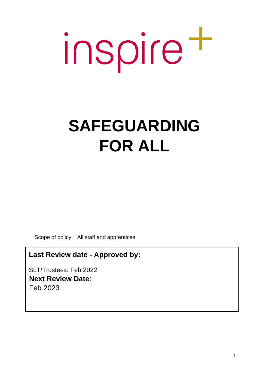# inspire t

# **SAFEGUARDING FOR ALL**

Scope of policy: All staff and apprentices

**Last Review date - Approved by:**

SLT/Trustees: Feb 2022 **Next Review Date**: Feb 2023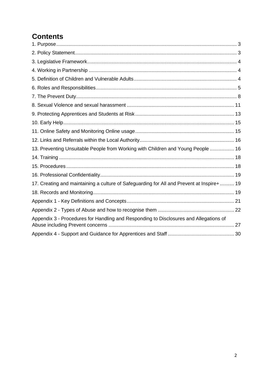# **Contents**

| 13. Preventing Unsuitable People from Working with Children and Young People  16          |  |
|-------------------------------------------------------------------------------------------|--|
|                                                                                           |  |
|                                                                                           |  |
|                                                                                           |  |
| 17. Creating and maintaining a culture of Safeguarding for All and Prevent at Inspire+ 19 |  |
|                                                                                           |  |
|                                                                                           |  |
|                                                                                           |  |
| Appendix 3 - Procedures for Handling and Responding to Disclosures and Allegations of     |  |
|                                                                                           |  |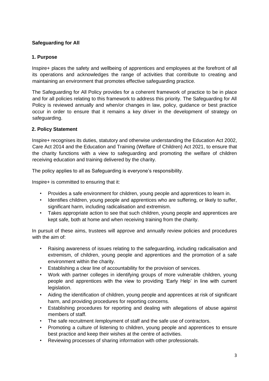# **Safeguarding for All**

# <span id="page-2-0"></span>**1. Purpose**

Inspire+ places the safety and wellbeing of apprentices and employees at the forefront of all its operations and acknowledges the range of activities that contribute to creating and maintaining an environment that promotes effective safeguarding practice.

The Safeguarding for All Policy provides for a coherent framework of practice to be in place and for all policies relating to this framework to address this priority. The Safeguarding for All Policy is reviewed annually and when/or changes in law, policy, guidance or best practice occur in order to ensure that it remains a key driver in the development of strategy on safeguarding.

# <span id="page-2-1"></span>**2. Policy Statement**

Inspire+ recognises its duties, statutory and otherwise understanding the Education Act 2002, Care Act 2014 and the Education and Training (Welfare of Children) Act 2021, to ensure that the charity functions with a view to safeguarding and promoting the welfare of children receiving education and training delivered by the charity.

The policy applies to all as Safeguarding is everyone's responsibility.

Inspire+ is committed to ensuring that it:

- Provides a safe environment for children, young people and apprentices to learn in.
- Identifies children, young people and apprentices who are suffering, or likely to suffer, significant harm, including radicalisation and extremism.
- Takes appropriate action to see that such children, young people and apprentices are kept safe, both at home and when receiving training from the charity.

In pursuit of these aims, trustees will approve and annually review policies and procedures with the aim of:

- Raising awareness of issues relating to the safeguarding, including radicalisation and extremism, of children, young people and apprentices and the promotion of a safe environment within the charity.
- Establishing a clear line of accountability for the provision of services.
- Work with partner colleges in identifying groups of more vulnerable children, young people and apprentices with the view to providing 'Early Help' in line with current legislation.
- Aiding the identification of children, young people and apprentices at risk of significant harm, and providing procedures for reporting concerns.
- Establishing procedures for reporting and dealing with allegations of abuse against members of staff.
- The safe recruitment /employment of staff and the safe use of contractors.
- Promoting a culture of listening to children, young people and apprentices to ensure best practice and keep their wishes at the centre of activities.
- Reviewing processes of sharing information with other professionals.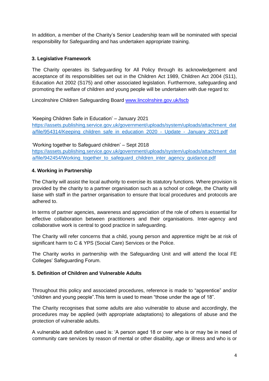In addition, a member of the Charity's Senior Leadership team will be nominated with special responsibility for Safeguarding and has undertaken appropriate training.

# <span id="page-3-0"></span>**3. Legislative Framework**

The Charity operates its Safeguarding for All Policy through its acknowledgement and acceptance of its responsibilities set out in the Children Act 1989, Children Act 2004 (S11), Education Act 2002 (S175) and other associated legislation. Furthermore, safeguarding and promoting the welfare of children and young people will be undertaken with due regard to:

Lincolnshire Children Safeguarding Board [www.lincolnshire.gov.uk/lscb](http://www.lincolnshire.gov.uk/lscb)

'Keeping Children Safe in Education' – January 2021 [https://assets.publishing.service.gov.uk/government/uploads/system/uploads/attachment\\_dat](https://assets.publishing.service.gov.uk/government/uploads/system/uploads/attachment_data/file/954314/Keeping_children_safe_in_education_2020_-_Update_-_January_2021.pdf) [a/file/954314/Keeping\\_children\\_safe\\_in\\_education\\_2020\\_-\\_Update\\_-\\_January\\_2021.pdf](https://assets.publishing.service.gov.uk/government/uploads/system/uploads/attachment_data/file/954314/Keeping_children_safe_in_education_2020_-_Update_-_January_2021.pdf)

'Working together to Safeguard children' – Sept 2018

[https://assets.publishing.service.gov.uk/government/uploads/system/uploads/attachment\\_dat](https://assets.publishing.service.gov.uk/government/uploads/system/uploads/attachment_data/file/942454/Working_together_to_safeguard_children_inter_agency_guidance.pdf) a/file/942454/Working together to safeguard children inter agency guidance.pdf

# <span id="page-3-1"></span>**4. Working in Partnership**

The Charity will assist the local authority to exercise its statutory functions. Where provision is provided by the charity to a partner organisation such as a school or college, the Charity will liaise with staff in the partner organisation to ensure that local procedures and protocols are adhered to.

In terms of partner agencies, awareness and appreciation of the role of others is essential for effective collaboration between practitioners and their organisations. Inter-agency and collaborative work is central to good practice in safeguarding.

The Charity will refer concerns that a child, young person and apprentice might be at risk of significant harm to C & YPS (Social Care) Services or the Police.

The Charity works in partnership with the Safeguarding Unit and will attend the local FE Colleges' Safeguarding Forum.

# <span id="page-3-2"></span>**5. Definition of Children and Vulnerable Adults**

Throughout this policy and associated procedures, reference is made to "apprentice" and/or "children and young people".This term is used to mean "those under the age of 18".

The Charity recognises that some adults are also vulnerable to abuse and accordingly, the procedures may be applied (with appropriate adaptations) to allegations of abuse and the protection of vulnerable adults.

A vulnerable adult definition used is: 'A person aged 18 or over who is or may be in need of community care services by reason of mental or other disability, age or illness and who is or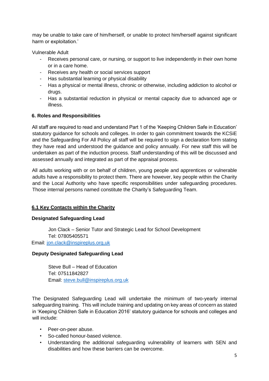may be unable to take care of him/herself, or unable to protect him/herself against significant harm or exploitation.'

Vulnerable Adult

- Receives personal care, or nursing, or support to live independently in their own home or in a care home.
- Receives any health or social services support
- Has substantial learning or physical disability
- Has a physical or mental illness, chronic or otherwise, including addiction to alcohol or drugs.
- Has a substantial reduction in physical or mental capacity due to advanced age or illness.

# <span id="page-4-0"></span>**6. Roles and Responsibilities**

All staff are required to read and understand Part 1 of the 'Keeping Children Safe in Education' statutory guidance for schools and colleges. In order to gain commitment towards the KCSiE and the Safeguarding For All Policy all staff will be required to sign a declaration form stating they have read and understood the guidance and policy annually. For new staff this will be undertaken as part of the induction process. Staff understanding of this will be discussed and assessed annually and integrated as part of the appraisal process.

All adults working with or on behalf of children, young people and apprentices or vulnerable adults have a responsibility to protect them. There are however, key people within the Charity and the Local Authority who have specific responsibilities under safeguarding procedures. Those internal persons named constitute the Charity's Safeguarding Team.

# **6.1 Key Contacts within the Charity**

# **Designated Safeguarding Lead**

Jon Clack – Senior Tutor and Strategic Lead for School Development Tel: 07805405571

Email: [jon.clack@inspireplus.org,uk](mailto:jon.clack@inspireplus.org,uk)

# **Deputy Designated Safeguarding Lead**

Steve Bull – Head of Education Tel: 07511842827 Email: [steve.bull@inspireplus.org.uk](mailto:steve.bull@inspireplus.org.uk)

The Designated Safeguarding Lead will undertake the minimum of two-yearly internal safeguarding training. This will include training and updating on key areas of concern as stated in 'Keeping Children Safe in Education 2016' statutory guidance for schools and colleges and will include:

- Peer-on-peer abuse.
- So-called honour-based violence.
- Understanding the additional safeguarding vulnerability of learners with SEN and disabilities and how these barriers can be overcome.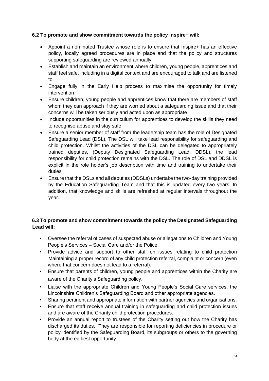# **6.2 To promote and show commitment towards the policy Inspire+ will:**

- Appoint a nominated Trustee whose role is to ensure that Inspire+ has an effective policy, locally agreed procedures are in place and that the policy and structures supporting safeguarding are reviewed annually
- Establish and maintain an environment where children, young people, apprentices and staff feel safe, including in a digital context and are encouraged to talk and are listened to
- Engage fully in the Early Help process to maximise the opportunity for timely intervention
- Ensure children, young people and apprentices know that there are members of staff whom they can approach if they are worried about a safeguarding issue and that their concerns will be taken seriously and acted upon as appropriate
- Include opportunities in the curriculum for apprentices to develop the skills they need to recognise abuse and stay safe
- Ensure a senior member of staff from the leadership team has the role of Designated Safeguarding Lead (DSL). The DSL will take lead responsibility for safeguarding and child protection. Whilst the activities of the DSL can be delegated to appropriately trained deputies, (Deputy Designated Safeguarding Lead, DDSL), the lead responsibility for child protection remains with the DSL. The role of DSL and DDSL is explicit in the role holder's job description with time and training to undertake their duties
- Ensure that the DSLs and all deputies (DDSLs) undertake the two-day training provided by the Education Safeguarding Team and that this is updated every two years. In addition, that knowledge and skills are refreshed at regular intervals throughout the year.

# **6.3 To promote and show commitment towards the policy the Designated Safeguarding Lead will:**

- Oversee the referral of cases of suspected abuse or allegations to Children and Young People's Services – Social Care and/or the Police.
- Provide advice and support to other staff on issues relating to child protection Maintaining a proper record of any child protection referral, complaint or concern (even where that concern does not lead to a referral).
- Ensure that parents of children, young people and apprentices within the Charity are aware of the Charity's Safeguarding policy.
- Liaise with the appropriate Children and Young People's Social Care services, the Lincolnshire Children's Safeguarding Board and other appropriate agencies.
- Sharing pertinent and appropriate information with partner agencies and organisations.
- Ensure that staff receive annual training in safeguarding and child protection issues and are aware of the Charity child protection procedures.
- Provide an annual report to trustees of the Charity setting out how the Charity has discharged its duties. They are responsible for reporting deficiencies in procedure or policy identified by the Safeguarding Board, its subgroups or others to the governing body at the earliest opportunity.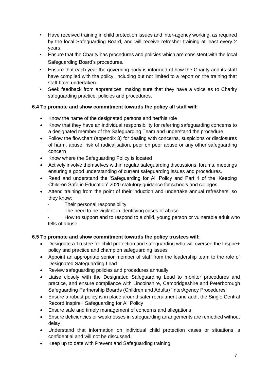- Have received training in child protection issues and inter-agency working, as required by the local Safeguarding Board, and will receive refresher training at least every 2 years.
- Ensure that the Charity has procedures and policies which are consistent with the local Safeguarding Board's procedures.
- Ensure that each year the governing body is informed of how the Charity and its staff have complied with the policy, including but not limited to a report on the training that staff have undertaken.
- Seek feedback from apprentices, making sure that they have a voice as to Charity safeguarding practice, policies and procedures.

# **6.4 To promote and show commitment towards the policy all staff will:**

- Know the name of the designated persons and her/his role
- Know that they have an individual responsibility for referring safeguarding concerns to a designated member of the Safeguarding Team and understand the procedure.
- Follow the flowchart (appendix 3) for dealing with concerns, suspicions or disclosures of harm, abuse, risk of radicalisation, peer on peer abuse or any other safeguarding concern
- Know where the Safeguarding Policy is located
- Actively involve themselves within regular safeguarding discussions, forums, meetings ensuring a good understanding of current safeguarding issues and procedures.
- Read and understand the 'Safeguarding for All Policy and Part 1 of the 'Keeping Children Safe in Education' 2020 statutory guidance for schools and colleges.
- Attend training from the point of their induction and undertake annual refreshers, so they know:
	- Their personal responsibility
	- The need to be vigilant in identifying cases of abuse
	- How to support and to respond to a child, young person or vulnerable adult who tells of abuse

# **6.5 To promote and show commitment towards the policy trustees will:**

- Designate a Trustee for child protection and safeguarding who will oversee the Inspire+ policy and practice and champion safeguarding issues
- Appoint an appropriate senior member of staff from the leadership team to the role of Designated Safeguarding Lead
- Review safeguarding policies and procedures annually
- Liaise closely with the Designated Safeguarding Lead to monitor procedures and practice, and ensure compliance with Lincolnshire, Cambridgeshire and Peterborough Safeguarding Partnership Boards (Children and Adults) 'InterAgency Procedures'
- Ensure a robust policy is in place around safer recruitment and audit the Single Central Record Inspire+ Safeguarding for All Policy
- Ensure safe and timely management of concerns and allegations
- Ensure deficiencies or weaknesses in safeguarding arrangements are remedied without delay
- Understand that information on individual child protection cases or situations is confidential and will not be discussed.
- Keep up to date with Prevent and Safeguarding training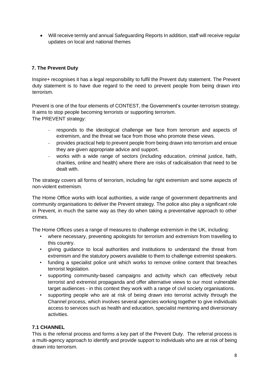• Will receive termly and annual Safeguarding Reports In addition, staff will receive regular updates on local and national themes

# <span id="page-7-0"></span>**7. The Prevent Duty**

Inspire+ recognises it has a legal responsibility to fulfil the Prevent duty statement. The Prevent duty statement is to have due regard to the need to prevent people from being drawn into terrorism.

Prevent is one of the four elements of CONTEST, the Government's counter-terrorism strategy. It aims to stop people becoming terrorists or supporting terrorism. The PREVENT strategy:

- responds to the ideological challenge we face from terrorism and aspects of extremism, and the threat we face from those who promote these views.
- provides practical help to prevent people from being drawn into terrorism and ensue they are given appropriate advice and support.
- works with a wide range of sectors (including education, criminal justice, faith, charities, online and health) where there are risks of radicalisation that need to be dealt with.

The strategy covers all forms of terrorism, including far right extremism and some aspects of non-violent extremism.

The Home Office works with local authorities, a wide range of government departments and community organisations to deliver the Prevent strategy. The police also play a significant role in Prevent, in much the same way as they do when taking a preventative approach to other crimes.

The Home Offices uses a range of measures to challenge extremism in the UK, including:

- where necessary, preventing apologists for terrorism and extremism from travelling to this country.
- giving guidance to local authorities and institutions to understand the threat from extremism and the statutory powers available to them to challenge extremist speakers.
- funding a specialist police unit which works to remove online content that breaches terrorist legislation.
- supporting community-based campaigns and activity which can effectively rebut terrorist and extremist propaganda and offer alternative views to our most vulnerable target audiences - in this context they work with a range of civil society organisations.
- supporting people who are at risk of being drawn into terrorist activity through the Channel process, which involves several agencies working together to give individuals access to services such as health and education, specialist mentoring and diversionary activities.

# **7.1 CHANNEL**

This is the referral process and forms a key part of the Prevent Duty. The referral process is a multi-agency approach to identify and provide support to individuals who are at risk of being drawn into terrorism.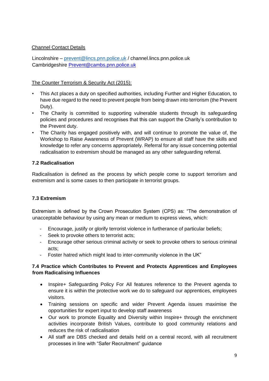# Channel Contact Details

Lincolnshire – [prevent@lincs.pnn.police.uk](mailto:prevent@lincs.pnn.police.uk) / channel.lincs.pnn.police.uk Cambridgeshire Prevent@cambs.pnn.police.uk

# The Counter Terrorism & Security Act (2015):

- This Act places a duty on specified authorities, including Further and Higher Education, to have due regard to the need to prevent people from being drawn into terrorism (the Prevent Duty).
- The Charity is committed to supporting vulnerable students through its safeguarding policies and procedures and recognises that this can support the Charity's contribution to the Prevent duty.
- The Charity has engaged positively with, and will continue to promote the value of, the Workshop to Raise Awareness of Prevent (WRAP) to ensure all staff have the skills and knowledge to refer any concerns appropriately. Referral for any issue concerning potential radicalisation to extremism should be managed as any other safeguarding referral.

# **7.2 Radicalisation**

Radicalisation is defined as the process by which people come to support terrorism and extremism and is some cases to then participate in terrorist groups.

# **7.3 Extremism**

Extremism is defined by the Crown Prosecution System (CPS) as: "The demonstration of unacceptable behaviour by using any mean or medium to express views, which:

- Encourage, justify or glorify terrorist violence in furtherance of particular beliefs;
- Seek to provoke others to terrorist acts;
- Encourage other serious criminal activity or seek to provoke others to serious criminal acts;
- Foster hatred which might lead to inter-community violence in the UK"

# **7.4 Practice which Contributes to Prevent and Protects Apprentices and Employees from Radicalising Influences**

- Inspire+ Safeguarding Policy For All features reference to the Prevent agenda to ensure it is within the protective work we do to safeguard our apprentices, employees visitors.
- Training sessions on specific and wider Prevent Agenda issues maximise the opportunities for expert input to develop staff awareness
- Our work to promote Equality and Diversity within Inspire+ through the enrichment activities incorporate British Values, contribute to good community relations and reduces the risk of radicalisation
- All staff are DBS checked and details held on a central record, with all recruitment processes in line with "Safer Recruitment" guidance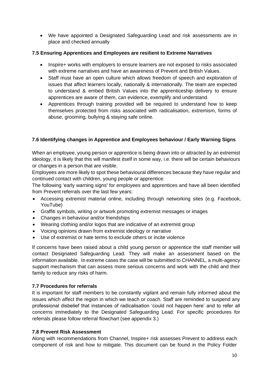• We have appointed a Designated Safeguarding Lead and risk assessments are in place and checked annually

# **7.5 Ensuring Apprentices and Employees are resilient to Extreme Narratives**

- Inspire+ works with employers to ensure learners are not exposed to risks associated with extreme narratives and have an awareness of Prevent and British Values.
- Staff must have an open culture which allows freedom of speech and exploration of issues that affect learners locally, nationally & internationally. The team are expected to understand & embed British Values into the apprenticeship delivery to ensure apprentices are aware of them, can evidence, exemplify and understand.
- Apprentices through training provided will be required to understand how to keep themselves protected from risks associated with radicalisation, extremism, forms of abuse, grooming, bullying & staying safe online.

# **7.6 Identifying changes in Apprentice and Employees behaviour / Early Warning Signs**

When an employee, young person or apprentice is being drawn into or attracted by an extremist ideology, it is likely that this will manifest itself in some way, i.e. there will be certain behaviours or changes in a person that are visible.

Employees are more likely to spot these behavioural differences because they have regular and continued contact with children, young people or apprentice.

The following 'early warning signs' for employees and apprentices and have all been identified from Prevent referrals over the last few years:

- Accessing extremist material online, including through networking sites (e.g. Facebook, YouTube)
- Graffiti symbols, writing or artwork promoting extremist messages or images
- Changes in behaviour and/or friendships
- Wearing clothing and/or logos that are indicative of an extremist group
- Voicing opinions drawn from extremist ideology or narrative
- Use of extremist or hate terms to exclude others or incite violence

If concerns have been raised about a child young person or apprentice the staff member will contact Designated Safeguarding Lead. They will make an assessment based on the information available. In extreme cases the case will be submitted to CHANNEL, a multi-agency support mechanism that can assess more serious concerns and work with the child and their family to reduce any risks of harm.

# **7.7 Procedures for referrals**

It is important for staff members to be constantly vigilant and remain fully informed about the issues which affect the region in which we teach or coach. Staff are reminded to suspend any professional disbelief that instances of radicalisation 'could not happen here' and to refer all concerns immediately to the Designated Safeguarding Lead. For specific procedures for referrals please follow referral flowchart (see appendix 3.)

# **7.8 Prevent Risk Assessment**

Along with recommendations from Channel, Inspire+ risk assesses Prevent to address each component of risk and how to mitigate. This document can be found in the Policy Folder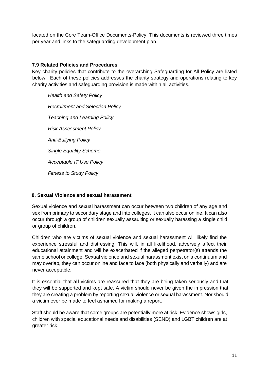located on the Core Team-Office Documents-Policy. This documents is reviewed three times per year and links to the safeguarding development plan.

# **7.9 Related Policies and Procedures**

Key charity policies that contribute to the overarching Safeguarding for All Policy are listed below. Each of these policies addresses the charity strategy and operations relating to key charity activities and safeguarding provision is made within all activities.

*Health and Safety Policy Recruitment and Selection Policy Teaching and Learning Policy Risk Assessment Policy Anti-Bullying Policy Single Equality Scheme Acceptable IT Use Policy Fitness to Study Policy* 

# <span id="page-10-0"></span>**8. Sexual Violence and sexual harassment**

Sexual violence and sexual harassment can occur between two children of any age and sex from primary to secondary stage and into colleges. It can also occur online. It can also occur through a group of children sexually assaulting or sexually harassing a single child or group of children.

Children who are victims of sexual violence and sexual harassment will likely find the experience stressful and distressing. This will, in all likelihood, adversely affect their educational attainment and will be exacerbated if the alleged perpetrator(s) attends the same school or college. Sexual violence and sexual harassment exist on a continuum and may overlap, they can occur online and face to face (both physically and verbally) and are never acceptable.

It is essential that **all** victims are reassured that they are being taken seriously and that they will be supported and kept safe. A victim should never be given the impression that they are creating a problem by reporting sexual violence or sexual harassment. Nor should a victim ever be made to feel ashamed for making a report.

Staff should be aware that some groups are potentially more at risk. Evidence shows girls, children with special educational needs and disabilities (SEND) and LGBT children are at greater risk.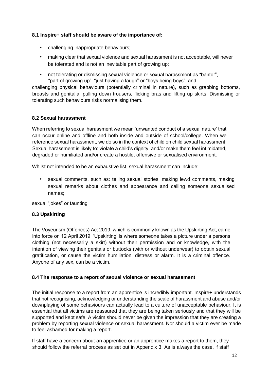# **8.1 Inspire+ staff should be aware of the importance of:**

- challenging inappropriate behaviours;
- making clear that sexual violence and sexual harassment is not acceptable, will never be tolerated and is not an inevitable part of growing up;
- not tolerating or dismissing sexual violence or sexual harassment as "banter", "part of growing up", "just having a laugh" or "boys being boys"; and,

challenging physical behaviours (potentially criminal in nature), such as grabbing bottoms, breasts and genitalia, pulling down trousers, flicking bras and lifting up skirts. Dismissing or tolerating such behaviours risks normalising them.

#### **8.2 Sexual harassment**

When referring to sexual harassment we mean 'unwanted conduct of a sexual nature' that can occur online and offline and both inside and outside of school/college. When we reference sexual harassment, we do so in the context of child on child sexual harassment. Sexual harassment is likely to: violate a child's dignity, and/or make them feel intimidated, degraded or humiliated and/or create a hostile, offensive or sexualised environment.

Whilst not intended to be an exhaustive list, sexual harassment can include:

• sexual comments, such as: telling sexual stories, making lewd comments, making sexual remarks about clothes and appearance and calling someone sexualised names;

sexual "jokes" or taunting

#### **8.3 Upskirting**

The Voyeurism (Offences) Act 2019, which is commonly known as the Upskirting Act, came into force on 12 April 2019. 'Upskirting' is where someone takes a picture under a persons clothing (not necessarily a skirt) without their permission and or knowledge, with the intention of viewing their genitals or buttocks (with or without underwear) to obtain sexual gratification, or cause the victim humiliation, distress or alarm. It is a criminal offence. Anyone of any sex, can be a victim.

#### **8.4 The response to a report of sexual violence or sexual harassment**

The initial response to a report from an apprentice is incredibly important. Inspire+ understands that not recognising, acknowledging or understanding the scale of harassment and abuse and/or downplaying of some behaviours can actually lead to a culture of unacceptable behaviour. It is essential that all victims are reassured that they are being taken seriously and that they will be supported and kept safe. A victim should never be given the impression that they are creating a problem by reporting sexual violence or sexual harassment. Nor should a victim ever be made to feel ashamed for making a report.

If staff have a concern about an apprentice or an apprentice makes a report to them, they should follow the referral process as set out in Appendix 3. As is always the case, if staff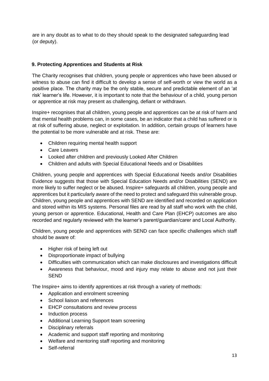are in any doubt as to what to do they should speak to the designated safeguarding lead (or deputy).

# <span id="page-12-0"></span>**9. Protecting Apprentices and Students at Risk**

The Charity recognises that children, young people or apprentices who have been abused or witness to abuse can find it difficult to develop a sense of self-worth or view the world as a positive place. The charity may be the only stable, secure and predictable element of an 'at risk' learner's life. However, it is important to note that the behaviour of a child, young person or apprentice at risk may present as challenging, defiant or withdrawn.

Inspire+ recognises that all children, young people and apprentices can be at risk of harm and that mental health problems can, in some cases, be an indicator that a child has suffered or is at risk of suffering abuse, neglect or exploitation. In addition, certain groups of learners have the potential to be more vulnerable and at risk. These are:

- Children requiring mental health support
- Care Leavers
- Looked after children and previously Looked After Children
- Children and adults with Special Educational Needs and or Disabilities

Children, young people and apprentices with Special Educational Needs and/or Disabilities Evidence suggests that those with Special Education Needs and/or Disabilities (SEND) are more likely to suffer neglect or be abused. Inspire+ safeguards all children, young people and apprentices but it particularly aware of the need to protect and safeguard this vulnerable group. Children, young people and apprentices with SEND are identified and recorded on application and stored within its MIS systems. Personal files are read by all staff who work with the child, young person or apprentice. Educational, Health and Care Plan (EHCP) outcomes are also recorded and regularly reviewed with the learner's parent/guardian/carer and Local Authority.

Children, young people and apprentices with SEND can face specific challenges which staff should be aware of:

- Higher risk of being left out
- Disproportionate impact of bullying
- Difficulties with communication which can make disclosures and investigations difficult
- Awareness that behaviour, mood and injury may relate to abuse and not just their SEND

The Inspire+ aims to identify apprentices at risk through a variety of methods:

- Application and enrolment screening
- School liaison and references
- EHCP consultations and review process
- Induction process
- Additional Learning Support team screening
- Disciplinary referrals
- Academic and support staff reporting and monitoring
- Welfare and mentoring staff reporting and monitoring
- Self-referral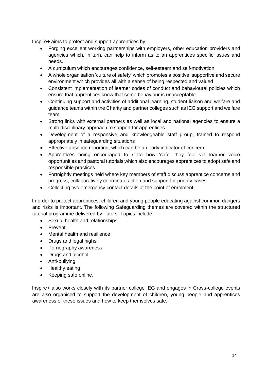Inspire+ aims to protect and support apprentices by:

- Forging excellent working partnerships with employers, other education providers and agencies which, in turn, can help to inform as to an apprentices specific issues and needs.
- A curriculum which encourages confidence, self-esteem and self-motivation
- A whole organisation 'culture of safety' which promotes a positive, supportive and secure environment which provides all with a sense of being respected and valued
- Consistent implementation of learner codes of conduct and behavioural policies which ensure that apprentices know that some behaviour is unacceptable
- Continuing support and activities of additional learning, student liaison and welfare and guidance teams within the Charity and partner colleges such as IEG support and welfare team.
- Strong links with external partners as well as local and national agencies to ensure a multi-disciplinary approach to support for apprentices
- Development of a responsive and knowledgeable staff group, trained to respond appropriately in safeguarding situations
- Effective absence reporting, which can be an early indicator of concern
- Apprentices being encouraged to state how 'safe' they feel via learner voice opportunities and pastoral tutorials which also encourages apprentices to adopt safe and responsible practices
- Fortnightly meetings held where key members of staff discuss apprentice concerns and progress, collaboratively coordinate action and support for priority cases
- Collecting two emergency contact details at the point of enrolment

In order to protect apprentices, children and young people educating against common dangers and risks is important. The following Safeguarding themes are covered within the structured tutorial programme delivered by Tutors. Topics include:

- Sexual health and relationships
- Prevent
- Mental health and resilience
- Drugs and legal highs
- Pornography awareness
- Drugs and alcohol
- Anti-bullying
- Healthy eating
- Keeping safe online.

Inspire+ also works closely with its partner college IEG and engages in Cross-college events are also organised to support the development of children, young people and apprentices awareness of these issues and how to keep themselves safe.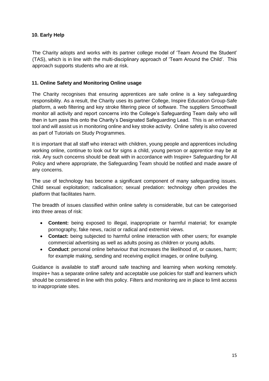# <span id="page-14-0"></span>**10. Early Help**

The Charity adopts and works with its partner college model of 'Team Around the Student' (TAS), which is in line with the multi-disciplinary approach of 'Team Around the Child'. This approach supports students who are at risk.

#### <span id="page-14-1"></span>**11. Online Safety and Monitoring Online usage**

The Charity recognises that ensuring apprentices are safe online is a key safeguarding responsibility. As a result, the Charity uses its partner College, Inspire Education Group-Safe platform, a web filtering and key stroke filtering piece of software. The suppliers Smoothwall monitor all activity and report concerns into the College's Safeguarding Team daily who will then in turn pass this onto the Charity's Designated Safeguarding Lead. This is an enhanced tool and will assist us in monitoring online and key stroke activity. Online safety is also covered as part of Tutorials on Study Programmes.

It is important that all staff who interact with children, young people and apprentices including working online, continue to look out for signs a child, young person or apprentice may be at risk. Any such concerns should be dealt with in accordance with Inspire+ Safeguarding for All Policy and where appropriate, the Safeguarding Team should be notified and made aware of any concerns.

The use of technology has become a significant component of many safeguarding issues. Child sexual exploitation; radicalisation; sexual predation: technology often provides the platform that facilitates harm.

The breadth of issues classified within online safety is considerable, but can be categorised into three areas of risk:

- **Content:** being exposed to illegal, inappropriate or harmful material; for example pornography, fake news, racist or radical and extremist views.
- **Contact:** being subjected to harmful online interaction with other users; for example commercial advertising as well as adults posing as children or young adults.
- **Conduct**: personal online behaviour that increases the likelihood of, or causes, harm; for example making, sending and receiving explicit images, or online bullying.

Guidance is available to staff around safe teaching and learning when working remotely. Inspire+ has a separate online safety and acceptable use policies for staff and learners which should be considered in line with this policy. Filters and monitoring are in place to limit access to inappropriate sites.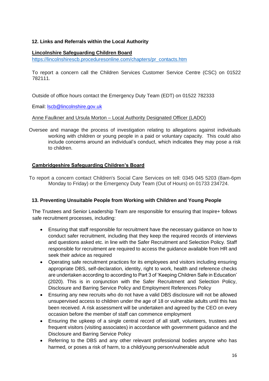# <span id="page-15-0"></span>**12. Links and Referrals within the Local Authority**

#### **Lincolnshire Safeguarding Children Board**

[https://lincolnshirescb.proceduresonline.com/chapters/pr\\_contacts.htm](https://lincolnshirescb.proceduresonline.com/chapters/pr_contacts.htm)

To report a concern call the Children Services Customer Service Centre (CSC) on 01522 782111.

Outside of office hours contact the Emergency Duty Team (EDT) on 01522 782333

Email: lscb@lincolnshire.gov.uk

#### Anne Faulkner and Ursula Morton – Local Authority Designated Officer (LADO)

Oversee and manage the process of investigation relating to allegations against individuals working with children or young people in a paid or voluntary capacity. This could also include concerns around an individual's conduct, which indicates they may pose a risk to children.

# **Cambridgeshire Safeguarding Children's Board**

To report a concern contact Children's Social Care Services on tell: 0345 045 5203 (8am-6pm Monday to Friday) or the Emergency Duty Team (Out of Hours) on 01733 234724.

#### <span id="page-15-1"></span>**13. Preventing Unsuitable People from Working with Children and Young People**

The Trustees and Senior Leadership Team are responsible for ensuring that Inspire+ follows safe recruitment processes, including:

- Ensuring that staff responsible for recruitment have the necessary guidance on how to conduct safer recruitment, including that they keep the required records of interviews and questions asked etc. in line with the Safer Recruitment and Selection Policy. Staff responsible for recruitment are required to access the guidance available from HR and seek their advice as required
- Operating safe recruitment practices for its employees and visitors including ensuring appropriate DBS, self-declaration, identity, right to work, health and reference checks are undertaken according to according to Part 3 of 'Keeping Children Safe in Education' (2020). This is in conjunction with the Safer Recruitment and Selection Policy, Disclosure and Barring Service Policy and Employment References Policy
- Ensuring any new recruits who do not have a valid DBS disclosure will not be allowed unsupervised access to children under the age of 18 or vulnerable adults until this has been received. A risk assessment will be undertaken and agreed by the CEO on every occasion before the member of staff can commence employment
- Ensuring the upkeep of a single central record of all staff, volunteers, trustees and frequent visitors (visiting associates) in accordance with government guidance and the Disclosure and Barring Service Policy
- Referring to the DBS and any other relevant professional bodies anyone who has harmed, or poses a risk of harm, to a child/young person/vulnerable adult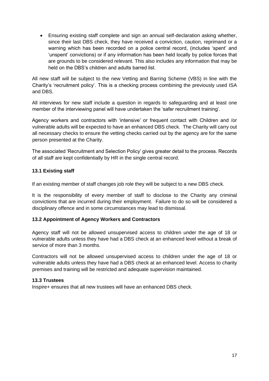• Ensuring existing staff complete and sign an annual self-declaration asking whether, since their last DBS check, they have received a conviction, caution, reprimand or a warning which has been recorded on a police central record, (includes 'spent' and 'unspent' convictions) or if any information has been held locally by police forces that are grounds to be considered relevant. This also includes any information that may be held on the DBS's children and adults barred list.

All new staff will be subject to the new Vetting and Barring Scheme (VBS) in line with the Charity's 'recruitment policy'. This is a checking process combining the previously used ISA and DBS.

All interviews for new staff include a question in regards to safeguarding and at least one member of the interviewing panel will have undertaken the 'safer recruitment training'.

Agency workers and contractors with 'intensive' or frequent contact with Children and /or vulnerable adults will be expected to have an enhanced DBS check. The Charity will carry out all necessary checks to ensure the vetting checks carried out by the agency are for the same person presented at the Charity.

The associated 'Recruitment and Selection Policy' gives greater detail to the process. Records of all staff are kept confidentially by HR in the single central record.

# **13.1 Existing staff**

If an existing member of staff changes job role they will be subject to a new DBS check.

It is the responsibility of every member of staff to disclose to the Charity any criminal convictions that are incurred during their employment. Failure to do so will be considered a disciplinary offence and in some circumstances may lead to dismissal.

#### **13.2 Appointment of Agency Workers and Contractors**

Agency staff will not be allowed unsupervised access to children under the age of 18 or vulnerable adults unless they have had a DBS check at an enhanced level without a break of service of more than 3 months.

Contractors will not be allowed unsupervised access to children under the age of 18 or vulnerable adults unless they have had a DBS check at an enhanced level. Access to charity premises and training will be restricted and adequate supervision maintained.

#### **13.3 Trustees**

Inspire+ ensures that all new trustees will have an enhanced DBS check.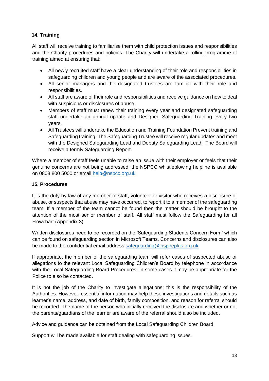# <span id="page-17-0"></span>**14. Training**

All staff will receive training to familiarise them with child protection issues and responsibilities and the Charity procedures and policies. The Charity will undertake a rolling programme of training aimed at ensuring that:

- All newly recruited staff have a clear understanding of their role and responsibilities in safeguarding children and young people and are aware of the associated procedures.
- All senior managers and the designated trustees are familiar with their role and responsibilities.
- All staff are aware of their role and responsibilities and receive guidance on how to deal with suspicions or disclosures of abuse.
- Members of staff must renew their training every year and designated safeguarding staff undertake an annual update and Designed Safeguarding Training every two years.
- All Trustees will undertake the Education and Training Foundation Prevent training and Safeguarding training. The Safeguarding Trustee will receive regular updates and meet with the Designed Safeguarding Lead and Deputy Safeguarding Lead. The Board will receive a termly Safeguarding Report.

Where a member of staff feels unable to raise an issue with their employer or feels that their genuine concerns are not being addressed, the NSPCC whistleblowing helpline is available on 0808 800 5000 or email [help@nspcc.org.uk](mailto:help@nspcc.org.uk)

#### <span id="page-17-1"></span>**15. Procedures**

It is the duty by law of any member of staff, volunteer or visitor who receives a disclosure of abuse, or suspects that abuse may have occurred, to report it to a member of the safeguarding team. If a member of the team cannot be found then the matter should be brought to the attention of the most senior member of staff. All staff must follow the Safeguarding for all Flowchart (Appendix 3)

Written disclosures need to be recorded on the 'Safeguarding Students Concern Form' which can be found on safeguarding section in Microsoft Teams. Concerns and disclosures can also be made to the confidential email address [safeguarding@inspireplus.org.uk](mailto:safeguarding@inspireplus.org.uk)

If appropriate, the member of the safeguarding team will refer cases of suspected abuse or allegations to the relevant Local Safeguarding Children's Board by telephone in accordance with the Local Safeguarding Board Procedures. In some cases it may be appropriate for the Police to also be contacted.

It is not the job of the Charity to investigate allegations; this is the responsibility of the Authorities. However, essential information may help these investigations and details such as learner's name, address, and date of birth, family composition, and reason for referral should be recorded. The name of the person who initially received the disclosure and whether or not the parents/guardians of the learner are aware of the referral should also be included.

Advice and guidance can be obtained from the Local Safeguarding Children Board.

Support will be made available for staff dealing with safeguarding issues.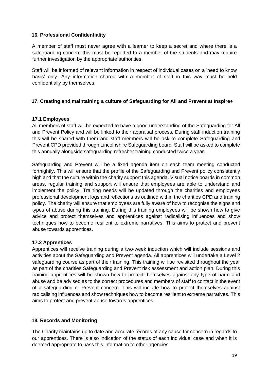#### <span id="page-18-0"></span>**16. Professional Confidentiality**

A member of staff must never agree with a learner to keep a secret and where there is a safeguarding concern this must be reported to a member of the students and may require further investigation by the appropriate authorities.

Staff will be informed of relevant information in respect of individual cases on a 'need to know basis' only. Any information shared with a member of staff in this way must be held confidentially by themselves.

# <span id="page-18-1"></span>**17. Creating and maintaining a culture of Safeguarding for All and Prevent at Inspire+**

#### **17.1 Employees**

All members of staff will be expected to have a good understanding of the Safeguarding for All and Prevent Policy and will be linked to their appraisal process. During staff induction training this will be shared with them and staff members will be ask to complete Safeguarding and Prevent CPD provided through Lincolnshire Safeguarding board. Staff will be asked to complete this annually alongside safeguarding refresher training conducted twice a year.

Safeguarding and Prevent will be a fixed agenda item on each team meeting conducted fortnightly. This will ensure that the profile of the Safeguarding and Prevent policy consistently high and that the culture within the charity support this agenda. Visual notice boards in common areas, regular training and support will ensure that employees are able to understand and implement the policy. Training needs will be updated through the charities and employees professional development logs and reflections as outlined within the charities CPD and training policy. The charity will ensure that employees are fully aware of how to recognise the signs and types of abuse during this training. During this training employees will be shown how to give advice and protect themselves and apprentices against radicalising influences and show techniques how to become resilient to extreme narratives. This aims to protect and prevent abuse towards apprentices.

# **17.2 Apprentices**

Apprentices will receive training during a two-week induction which will include sessions and activities about the Safeguarding and Prevent agenda. All apprentices will undertake a Level 2 safeguarding course as part of their training. This training will be revisited throughout the year as part of the charities Safeguarding and Prevent risk assessment and action plan. During this training apprentices will be shown how to protect themselves against any type of harm and abuse and be advised as to the correct procedures and members of staff to contact in the event of a safeguarding or Prevent concern. This will include how to protect themselves against radicalising influences and show techniques how to become resilient to extreme narratives. This aims to protect and prevent abuse towards apprentices.

#### <span id="page-18-2"></span>**18. Records and Monitoring**

The Charity maintains up to date and accurate records of any cause for concern in regards to our apprentices. There is also indication of the status of each individual case and when it is deemed appropriate to pass this information to other agencies.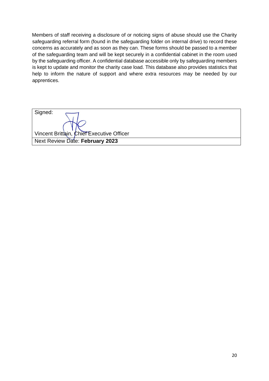Members of staff receiving a disclosure of or noticing signs of abuse should use the Charity safeguarding referral form (found in the safeguarding folder on internal drive) to record these concerns as accurately and as soon as they can. These forms should be passed to a member of the safeguarding team and will be kept securely in a confidential cabinet in the room used by the safeguarding officer. A confidential database accessible only by safeguarding members is kept to update and monitor the charity case load. This database also provides statistics that help to inform the nature of support and where extra resources may be needed by our apprentices.

Signed: Vincent Brittain, Chief Executive Officer Next Review Date: **February 2023**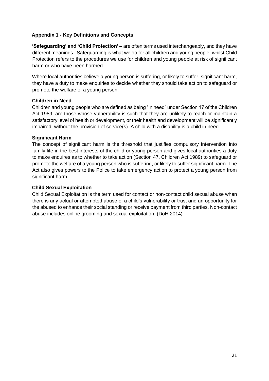# <span id="page-20-0"></span>**Appendix 1 - Key Definitions and Concepts**

**'Safeguarding' and 'Child Protection' –** are often terms used interchangeably, and they have different meanings. Safeguarding is what we do for all children and young people, whilst Child Protection refers to the procedures we use for children and young people at risk of significant harm or who have been harmed.

Where local authorities believe a young person is suffering, or likely to suffer, significant harm, they have a duty to make enquiries to decide whether they should take action to safeguard or promote the welfare of a young person.

# **Children in Need**

Children and young people who are defined as being "in need" under Section 17 of the Children Act 1989, are those whose vulnerability is such that they are unlikely to reach or maintain a satisfactory level of health or development, or their health and development will be significantly impaired, without the provision of service(s). A child with a disability is a child in need.

#### **Significant Harm**

The concept of significant harm is the threshold that justifies compulsory intervention into family life in the best interests of the child or young person and gives local authorities a duty to make enquires as to whether to take action (Section 47, Children Act 1989) to safeguard or promote the welfare of a young person who is suffering, or likely to suffer significant harm. The Act also gives powers to the Police to take emergency action to protect a young person from significant harm.

#### **Child Sexual Exploitation**

Child Sexual Exploitation is the term used for contact or non-contact child sexual abuse when there is any actual or attempted abuse of a child's vulnerability or trust and an opportunity for the abused to enhance their social standing or receive payment from third parties. Non-contact abuse includes online grooming and sexual exploitation. (DoH 2014)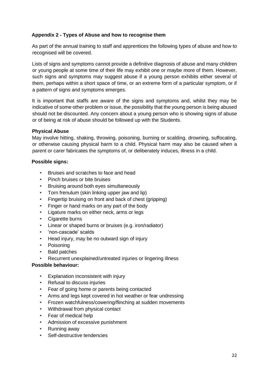# <span id="page-21-0"></span>**Appendix 2 - Types of Abuse and how to recognise them**

As part of the annual training to staff and apprentices the following types of abuse and how to recognised will be covered.

Lists of signs and symptoms cannot provide a definitive diagnosis of abuse and many children or young people at some time of their life may exhibit one or maybe more of them. However, such signs and symptoms may suggest abuse if a young person exhibits either several of them, perhaps within a short space of time, or an extreme form of a particular symptom, or if a pattern of signs and symptoms emerges.

It is important that staffs are aware of the signs and symptoms and, whilst they may be indicative of some other problem or issue, the possibility that the young person is being abused should not be discounted. Any concern about a young person who is showing signs of abuse or of being at risk of abuse should be followed up with the Students.

# **Physical Abuse**

May involve hitting, shaking, throwing, poisoning, burning or scalding, drowning, suffocating, or otherwise causing physical harm to a child. Physical harm may also be caused when a parent or carer fabricates the symptoms of, or deliberately induces, illness in a child.

#### **Possible signs:**

- Bruises and scratches to face and head
- Pinch bruises or bite bruises
- Bruising around both eyes simultaneously
- Torn frenulum (skin linking upper jaw and lip)
- Fingertip bruising on front and back of chest (gripping)
- Finger or hand marks on any part of the body
- Ligature marks on either neck, arms or legs
- Cigarette burns
- Linear or shaped burns or bruises (e.g. iron/radiator)
- 'non-cascade' scalds
- Head injury, may be no outward sign of injury
- Poisoning
- Bald patches
- Recurrent unexplained/untreated injuries or lingering illness

#### **Possible behaviour:**

- Explanation inconsistent with injury
- Refusal to discuss injuries
- Fear of going home or parents being contacted
- Arms and legs kept covered in hot weather or fear undressing
- Frozen watchfulness/cowering/flinching at sudden movements
- Withdrawal from physical contact
- Fear of medical help
- Admission of excessive punishment
- Running away
- Self-destructive tendencies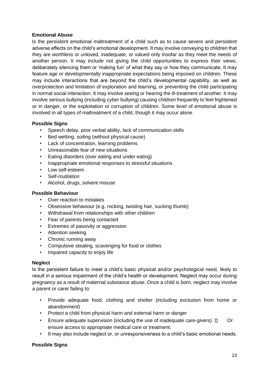#### **Emotional Abuse**

Is the persistent emotional maltreatment of a child such as to cause severe and persistent adverse effects on the child's emotional development. It may involve conveying to children that they are worthless or unloved, inadequate, or valued only insofar as they meet the needs of another person. It may include not giving the child opportunities to express their views, deliberately silencing them or 'making fun' of what they say or how they communicate. It may feature age or developmentally inappropriate expectations being imposed on children. These may include interactions that are beyond the child's developmental capability, as well as overprotection and limitation of exploration and learning, or preventing the child participating in normal social interaction. It may involve seeing or hearing the ill-treatment of another. It may involve serious bullying (including cyber bullying) causing children frequently to feel frightened or in danger, or the exploitation or corruption of children. Some level of emotional abuse is involved in all types of maltreatment of a child, though it may occur alone.

#### **Possible Signs**

- Speech delay, poor verbal ability, lack of communication skills
- Bed wetting, soiling (without physical cause)
- Lack of concentration, learning problems
- Unreasonable fear of new situations
- Eating disorders (over eating and under eating)
- Inappropriate emotional responses to stressful situations
- Low self-esteem
- Self-mutilation
- Alcohol, drugs, solvent misuse

#### **Possible Behaviour**

- Over reaction to mistakes
- Obsessive behaviour (e.g. rocking, twisting hair, sucking thumb)
- Withdrawal from relationships with other children
- Fear of parents being contacted
- Extremes of passivity or aggression
- Attention seeking
- Chronic running away
- Compulsive stealing, scavenging for food or clothes
- Impaired capacity to enjoy life

#### **Neglect**

Is the persistent failure to meet a child's basic physical and/or psychological need, likely to result in a serious impairment of the child's health or development. Neglect may occur during pregnancy as a result of maternal substance abuse. Once a child is born, neglect may involve a parent or carer failing to:

- Provide adequate food, clothing and shelter (including exclusion from home or abandonment)
- Protect a child from physical harm and external harm or danger
- Ensure adequate supervision (including the use of inadequate care-givers)  $\Box$  Or ensure access to appropriate medical care or treatment.
- It may also include neglect or, or unresponsiveness to a child's basic emotional needs.

# **Possible Signs**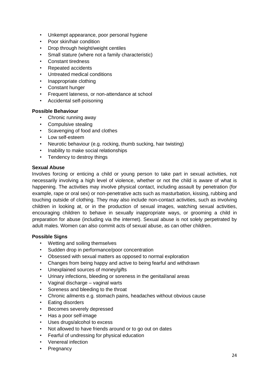- Unkempt appearance, poor personal hygiene
- Poor skin/hair condition
- Drop through height/weight centiles
- Small stature (where not a family characteristic)
- Constant tiredness
- Repeated accidents
- Untreated medical conditions
- Inappropriate clothing
- Constant hunger
- Frequent lateness, or non-attendance at school
- Accidental self-poisoning

#### **Possible Behaviour**

- Chronic running away
- Compulsive stealing
- Scavenging of food and clothes
- Low self-esteem
- Neurotic behaviour (e.g. rocking, thumb sucking, hair twisting)
- Inability to make social relationships
- Tendency to destroy things

#### **Sexual Abuse**

Involves forcing or enticing a child or young person to take part in sexual activities, not necessarily involving a high level of violence, whether or not the child is aware of what is happening. The activities may involve physical contact, including assault by penetration (for example, rape or oral sex) or non-penetrative acts such as masturbation, kissing, rubbing and touching outside of clothing. They may also include non-contact activities, such as involving children in looking at, or in the production of sexual images, watching sexual activities, encouraging children to behave in sexually inappropriate ways, or grooming a child in preparation for abuse (including via the internet). Sexual abuse is not solely perpetrated by adult males. Women can also commit acts of sexual abuse, as can other children.

#### **Possible Signs**

- Wetting and soiling themselves
- Sudden drop in performance/poor concentration
- Obsessed with sexual matters as opposed to normal exploration
- Changes from being happy and active to being fearful and withdrawn
- Unexplained sources of money/gifts
- Urinary infections, bleeding or soreness in the genital/anal areas
- Vaginal discharge vaginal warts
- Soreness and bleeding to the throat
- Chronic ailments e.g. stomach pains, headaches without obvious cause
- Eating disorders
- Becomes severely depressed
- Has a poor self-image
- Uses drugs/alcohol to excess
- Not allowed to have friends around or to go out on dates
- Fearful of undressing for physical education
- Venereal infection
- Pregnancy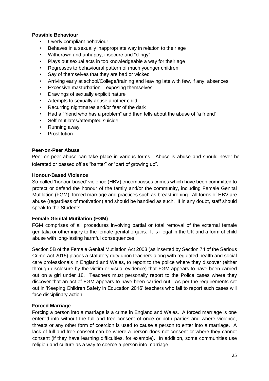#### **Possible Behaviour**

- Overly compliant behaviour
- Behaves in a sexually inappropriate way in relation to their age
- Withdrawn and unhappy, insecure and "clingy"
- Plays out sexual acts in too knowledgeable a way for their age
- Regresses to behavioural pattern of much younger children
- Say of themselves that they are bad or wicked
- Arriving early at school/College/training and leaving late with few, if any, absences
- Excessive masturbation exposing themselves
- Drawings of sexually explicit nature
- Attempts to sexually abuse another child
- Recurring nightmares and/or fear of the dark
- Had a "friend who has a problem" and then tells about the abuse of "a friend"
- Self-mutilates/attempted suicide
- Running away
- **Prostitution**

#### **Peer-on-Peer Abuse**

Peer-on-peer abuse can take place in various forms. Abuse is abuse and should never be tolerated or passed off as "banter" or "part of growing up".

#### **Honour-Based Violence**

So-called 'honour-based' violence (HBV) encompasses crimes which have been committed to protect or defend the honour of the family and/or the community, including Female Genital Mutilation (FGM), forced marriage and practices such as breast ironing. All forms of HBV are abuse (regardless of motivation) and should be handled as such. If in any doubt, staff should speak to the Students.

#### **Female Genital Mutilation (FGM)**

FGM comprises of all procedures involving partial or total removal of the external female genitalia or other injury to the female genital organs. It is illegal in the UK and a form of child abuse with long-lasting harmful consequences.

Section 5B of the Female Genital Mutilation Act 2003 (as inserted by Section 74 of the Serious Crime Act 2015) places a statutory duty upon teachers along with regulated health and social care professionals in England and Wales, to report to the police where they discover (either through disclosure by the victim or visual evidence) that FGM appears to have been carried out on a girl under 18. Teachers must personally report to the Police cases where they discover that an act of FGM appears to have been carried out. As per the requirements set out in 'Keeping Children Safety in Education 2016' teachers who fail to report such cases will face disciplinary action.

# **Forced Marriage**

Forcing a person into a marriage is a crime in England and Wales. A forced marriage is one entered into without the full and free consent of once or both parties and where violence, threats or any other form of coercion is used to cause a person to enter into a marriage. A lack of full and free consent can be where a person does not consent or where they cannot consent (if they have learning difficulties, for example). In addition, some communities use religion and culture as a way to coerce a person into marriage.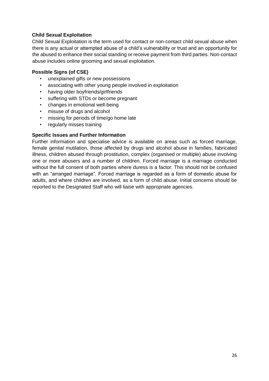# **Child Sexual Exploitation**

Child Sexual Exploitation is the term used for contact or non-contact child sexual abuse when there is any actual or attempted abuse of a child's vulnerability or trust and an opportunity for the abused to enhance their social standing or receive payment from third parties. Non-contact abuse includes online grooming and sexual exploitation.

#### **Possible Signs (of CSE)**

- unexplained gifts or new possessions
- associating with other young people involved in exploitation
- having older boyfriends/girlfriends
- suffering with STDs or become pregnant
- changes in emotional well-being
- misuse of drugs and alcohol
- missing for periods of time/go home late
- regularly misses training

#### **Specific Issues and Further Information**

Further information and specialise advice is available on areas such as forced marriage, female genital mutilation, those affected by drugs and alcohol abuse in families, fabricated illness, children abused through prostitution, complex (organised or multiple) abuse involving one or more abusers and a number of children. Forced marriage is a marriage conducted without the full consent of both parties where duress is a factor. This should not be confused with an "arranged marriage". Forced marriage is regarded as a form of domestic abuse for adults, and where children are involved, as a form of child abuse. Initial concerns should be reported to the Designated Staff who will liaise with appropriate agencies.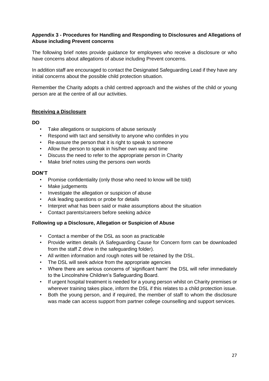#### <span id="page-26-0"></span>**Appendix 3 - Procedures for Handling and Responding to Disclosures and Allegations of Abuse including Prevent concerns**

The following brief notes provide guidance for employees who receive a disclosure or who have concerns about allegations of abuse including Prevent concerns.

In addition staff are encouraged to contact the Designated Safeguarding Lead if they have any initial concerns about the possible child protection situation.

Remember the Charity adopts a child centred approach and the wishes of the child or young person are at the centre of all our activities.

#### **Receiving a Disclosure**

#### **DO**

- Take allegations or suspicions of abuse seriously
- Respond with tact and sensitivity to anyone who confides in you
- Re-assure the person that it is right to speak to someone
- Allow the person to speak in his/her own way and time
- Discuss the need to refer to the appropriate person in Charity
- Make brief notes using the persons own words

#### **DON'T**

- Promise confidentiality (only those who need to know will be told)
- Make judgements
- Investigate the allegation or suspicion of abuse
- Ask leading questions or probe for details
- Interpret what has been said or make assumptions about the situation
- Contact parents/careers before seeking advice

#### **Following up a Disclosure, Allegation or Suspicion of Abuse**

- Contact a member of the DSL as soon as practicable
- Provide written details (A Safeguarding Cause for Concern form can be downloaded from the staff Z drive in the safeguarding folder).
- All written information and rough notes will be retained by the DSL.
- The DSL will seek advice from the appropriate agencies
- Where there are serious concerns of 'significant harm' the DSL will refer immediately to the Lincolnshire Children's Safeguarding Board.
- If urgent hospital treatment is needed for a young person whilst on Charity premises or wherever training takes place, inform the DSL if this relates to a child protection issue.
- Both the young person, and if required, the member of staff to whom the disclosure was made can access support from partner college counselling and support services.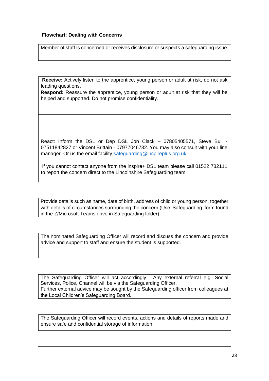# **Flowchart: Dealing with Concerns**

| Member of staff is concerned or receives disclosure or suspects a safeguarding issue.                                                                                                                                             |                                                                                                                                                                                |  |  |  |  |
|-----------------------------------------------------------------------------------------------------------------------------------------------------------------------------------------------------------------------------------|--------------------------------------------------------------------------------------------------------------------------------------------------------------------------------|--|--|--|--|
|                                                                                                                                                                                                                                   |                                                                                                                                                                                |  |  |  |  |
| leading questions.<br>Respond: Reassure the apprentice, young person or adult at risk that they will be<br>helped and supported. Do not promise confidentiality.                                                                  | Receive: Actively listen to the apprentice, young person or adult at risk, do not ask                                                                                          |  |  |  |  |
|                                                                                                                                                                                                                                   |                                                                                                                                                                                |  |  |  |  |
| React: Inform the DSL or Dep DSL Jon Clack - 07805405571, Steve Bull -<br>07511842827 or Vincent Brittain - 07977046732. You may also consult with your line<br>manager. Or us the email facility safeguarding@inspireplus.org.uk |                                                                                                                                                                                |  |  |  |  |
| If you cannot contact anyone from the inspire+ DSL team please call 01522 782111<br>to report the concern direct to the Lincolnshire Safeguarding team.                                                                           |                                                                                                                                                                                |  |  |  |  |
|                                                                                                                                                                                                                                   |                                                                                                                                                                                |  |  |  |  |
| in the Z/Microsoft Teams drive in Safeguarding folder)                                                                                                                                                                            | Provide details such as name, date of birth, address of child or young person, together<br>with details of circumstances surrounding the concern (Use 'Safeguarding form found |  |  |  |  |
|                                                                                                                                                                                                                                   |                                                                                                                                                                                |  |  |  |  |
| advice and support to staff and ensure the student is supported.                                                                                                                                                                  | The nominated Safeguarding Officer will record and discuss the concern and provide                                                                                             |  |  |  |  |
|                                                                                                                                                                                                                                   |                                                                                                                                                                                |  |  |  |  |
| The Safeguarding Officer will act accordingly.<br>Services, Police, Channel will be via the Safeguarding Officer.<br>the Local Children's Safeguarding Board.                                                                     | Any external referral e.g. Social<br>Further external advice may be sought by the Safeguarding officer from colleagues at                                                      |  |  |  |  |
|                                                                                                                                                                                                                                   |                                                                                                                                                                                |  |  |  |  |
| ensure safe and confidential storage of information.                                                                                                                                                                              | The Safeguarding Officer will record events, actions and details of reports made and                                                                                           |  |  |  |  |
|                                                                                                                                                                                                                                   |                                                                                                                                                                                |  |  |  |  |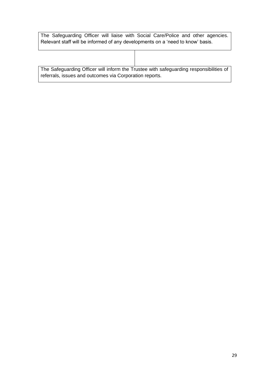| The Safeguarding Officer will liaise with Social Care/Police and other agencies. |  |  |  |  |  |
|----------------------------------------------------------------------------------|--|--|--|--|--|
| Relevant staff will be informed of any developments on a 'need to know' basis.   |  |  |  |  |  |

| The Safeguarding Officer will inform the Trustee with safeguarding responsibilities of |  |
|----------------------------------------------------------------------------------------|--|
| referrals, issues and outcomes via Corporation reports.                                |  |